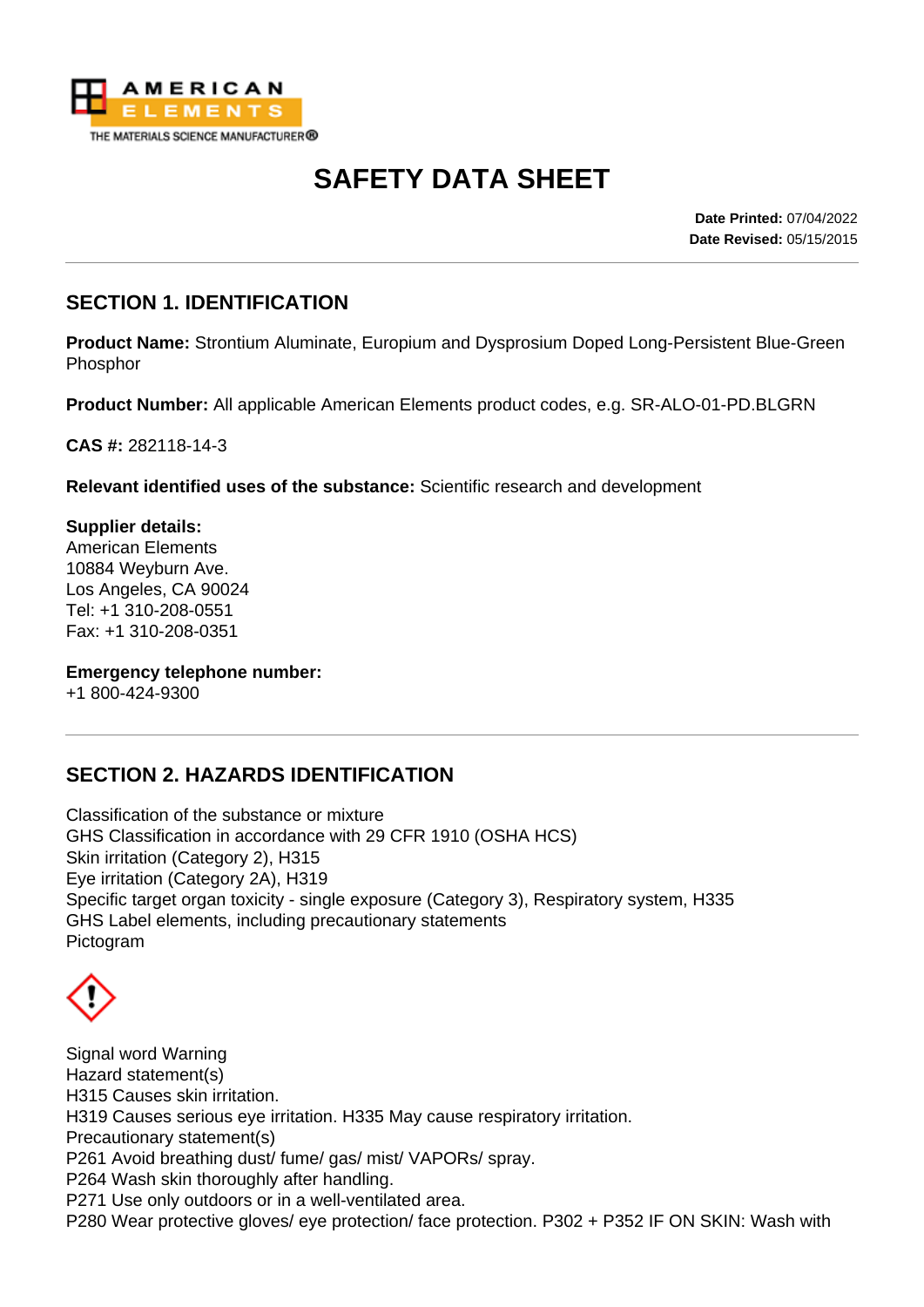

# **SAFETY DATA SHEET**

**Date Printed:** 07/04/2022 **Date Revised:** 05/15/2015

## **SECTION 1. IDENTIFICATION**

**Product Name:** Strontium Aluminate, Europium and Dysprosium Doped Long-Persistent Blue-Green Phosphor

**Product Number:** All applicable American Elements product codes, e.g. SR-ALO-01-PD.BLGRN

**CAS #:** 282118-14-3

**Relevant identified uses of the substance:** Scientific research and development

**Supplier details:** American Elements 10884 Weyburn Ave. Los Angeles, CA 90024 Tel: +1 310-208-0551 Fax: +1 310-208-0351

**Emergency telephone number:**

+1 800-424-9300

### **SECTION 2. HAZARDS IDENTIFICATION**

Classification of the substance or mixture GHS Classification in accordance with 29 CFR 1910 (OSHA HCS) Skin irritation (Category 2), H315 Eye irritation (Category 2A), H319 Specific target organ toxicity - single exposure (Category 3), Respiratory system, H335 GHS Label elements, including precautionary statements Pictogram

Signal word Warning Hazard statement(s) H315 Causes skin irritation. H319 Causes serious eye irritation. H335 May cause respiratory irritation. Precautionary statement(s) P261 Avoid breathing dust/ fume/ gas/ mist/ VAPORs/ spray. P264 Wash skin thoroughly after handling. P271 Use only outdoors or in a well-ventilated area. P280 Wear protective gloves/ eye protection/ face protection. P302 + P352 IF ON SKIN: Wash with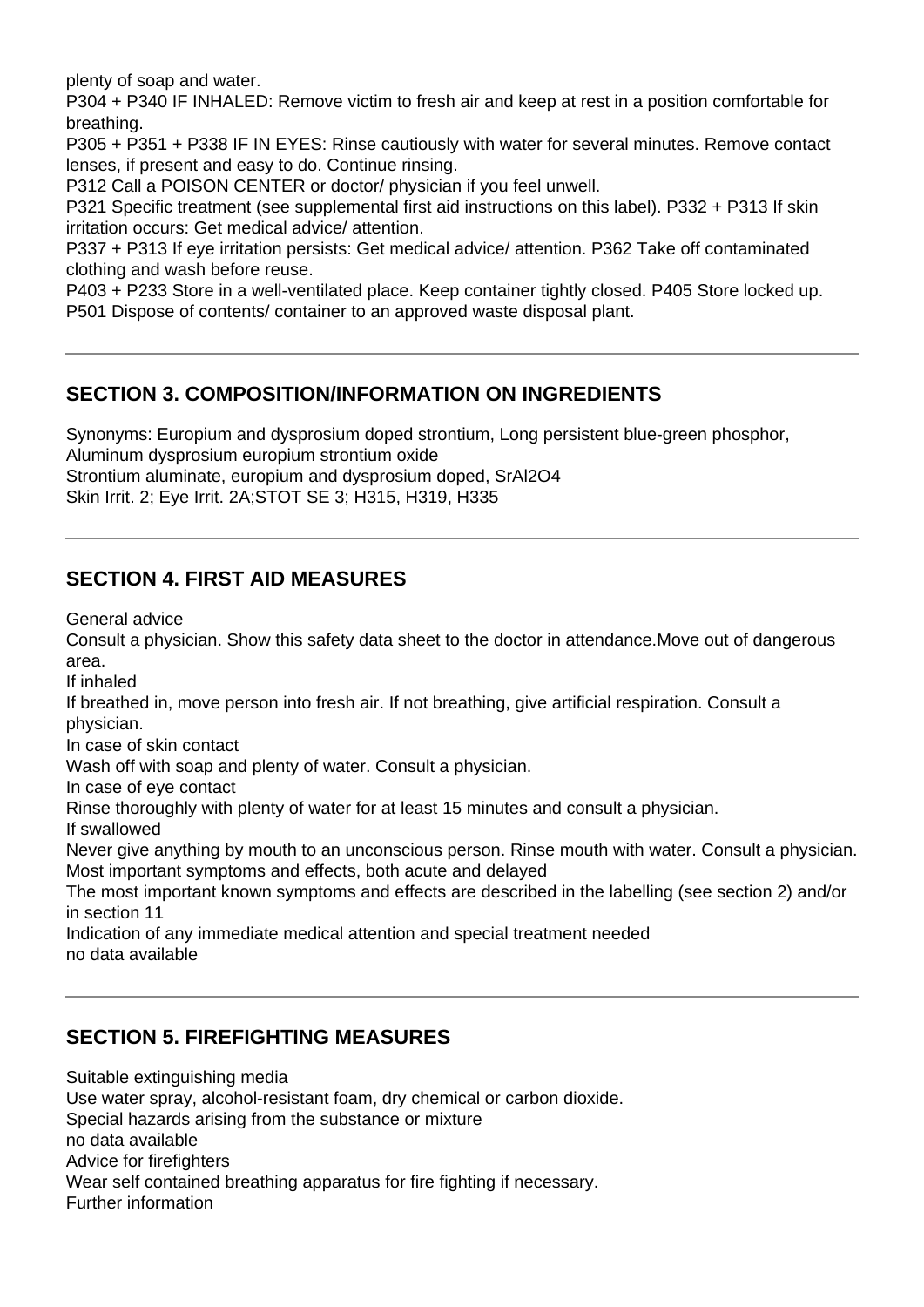plenty of soap and water.

P304 + P340 IF INHALED: Remove victim to fresh air and keep at rest in a position comfortable for breathing.

P305 + P351 + P338 IF IN EYES: Rinse cautiously with water for several minutes. Remove contact lenses, if present and easy to do. Continue rinsing.

P312 Call a POISON CENTER or doctor/ physician if you feel unwell.

P321 Specific treatment (see supplemental first aid instructions on this label). P332 + P313 If skin irritation occurs: Get medical advice/ attention.

P337 + P313 If eye irritation persists: Get medical advice/ attention. P362 Take off contaminated clothing and wash before reuse.

P403 + P233 Store in a well-ventilated place. Keep container tightly closed. P405 Store locked up. P501 Dispose of contents/ container to an approved waste disposal plant.

## **SECTION 3. COMPOSITION/INFORMATION ON INGREDIENTS**

Synonyms: Europium and dysprosium doped strontium, Long persistent blue-green phosphor, Aluminum dysprosium europium strontium oxide Strontium aluminate, europium and dysprosium doped, SrAl2O4 Skin Irrit. 2; Eye Irrit. 2A;STOT SE 3; H315, H319, H335

### **SECTION 4. FIRST AID MEASURES**

General advice

Consult a physician. Show this safety data sheet to the doctor in attendance.Move out of dangerous area.

If inhaled

If breathed in, move person into fresh air. If not breathing, give artificial respiration. Consult a physician.

In case of skin contact

Wash off with soap and plenty of water. Consult a physician.

In case of eye contact

Rinse thoroughly with plenty of water for at least 15 minutes and consult a physician.

If swallowed

Never give anything by mouth to an unconscious person. Rinse mouth with water. Consult a physician. Most important symptoms and effects, both acute and delayed

The most important known symptoms and effects are described in the labelling (see section 2) and/or in section 11

Indication of any immediate medical attention and special treatment needed no data available

### **SECTION 5. FIREFIGHTING MEASURES**

Suitable extinguishing media

Use water spray, alcohol-resistant foam, dry chemical or carbon dioxide.

Special hazards arising from the substance or mixture

no data available

Advice for firefighters

Wear self contained breathing apparatus for fire fighting if necessary.

Further information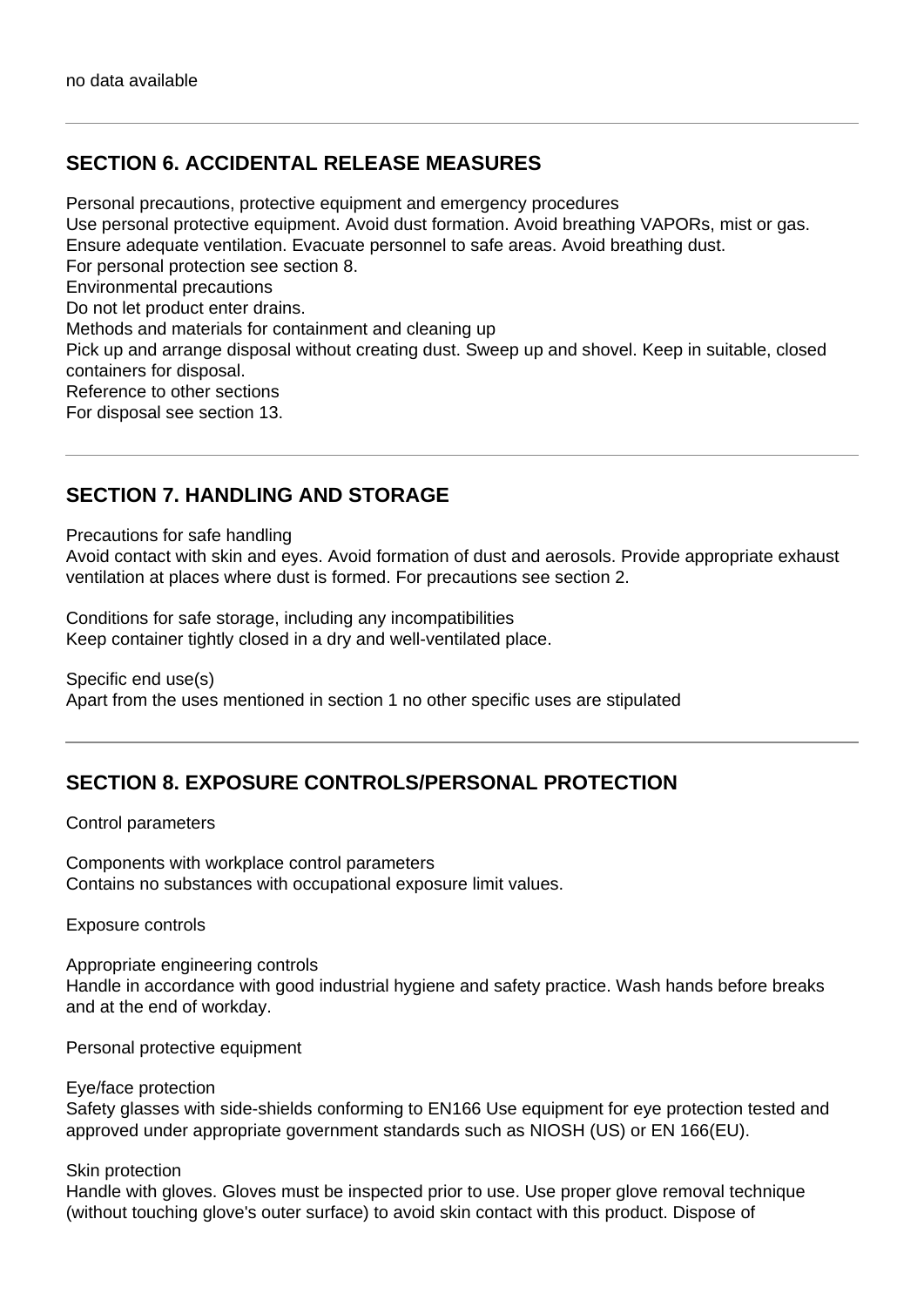### **SECTION 6. ACCIDENTAL RELEASE MEASURES**

Personal precautions, protective equipment and emergency procedures Use personal protective equipment. Avoid dust formation. Avoid breathing VAPORs, mist or gas. Ensure adequate ventilation. Evacuate personnel to safe areas. Avoid breathing dust. For personal protection see section 8. Environmental precautions Do not let product enter drains. Methods and materials for containment and cleaning up Pick up and arrange disposal without creating dust. Sweep up and shovel. Keep in suitable, closed containers for disposal. Reference to other sections For disposal see section 13.

#### **SECTION 7. HANDLING AND STORAGE**

Precautions for safe handling

Avoid contact with skin and eyes. Avoid formation of dust and aerosols. Provide appropriate exhaust ventilation at places where dust is formed. For precautions see section 2.

Conditions for safe storage, including any incompatibilities Keep container tightly closed in a dry and well-ventilated place.

Specific end use(s) Apart from the uses mentioned in section 1 no other specific uses are stipulated

### **SECTION 8. EXPOSURE CONTROLS/PERSONAL PROTECTION**

Control parameters

Components with workplace control parameters Contains no substances with occupational exposure limit values.

Exposure controls

Appropriate engineering controls Handle in accordance with good industrial hygiene and safety practice. Wash hands before breaks and at the end of workday.

Personal protective equipment

Eye/face protection

Safety glasses with side-shields conforming to EN166 Use equipment for eye protection tested and approved under appropriate government standards such as NIOSH (US) or EN 166(EU).

Skin protection

Handle with gloves. Gloves must be inspected prior to use. Use proper glove removal technique (without touching glove's outer surface) to avoid skin contact with this product. Dispose of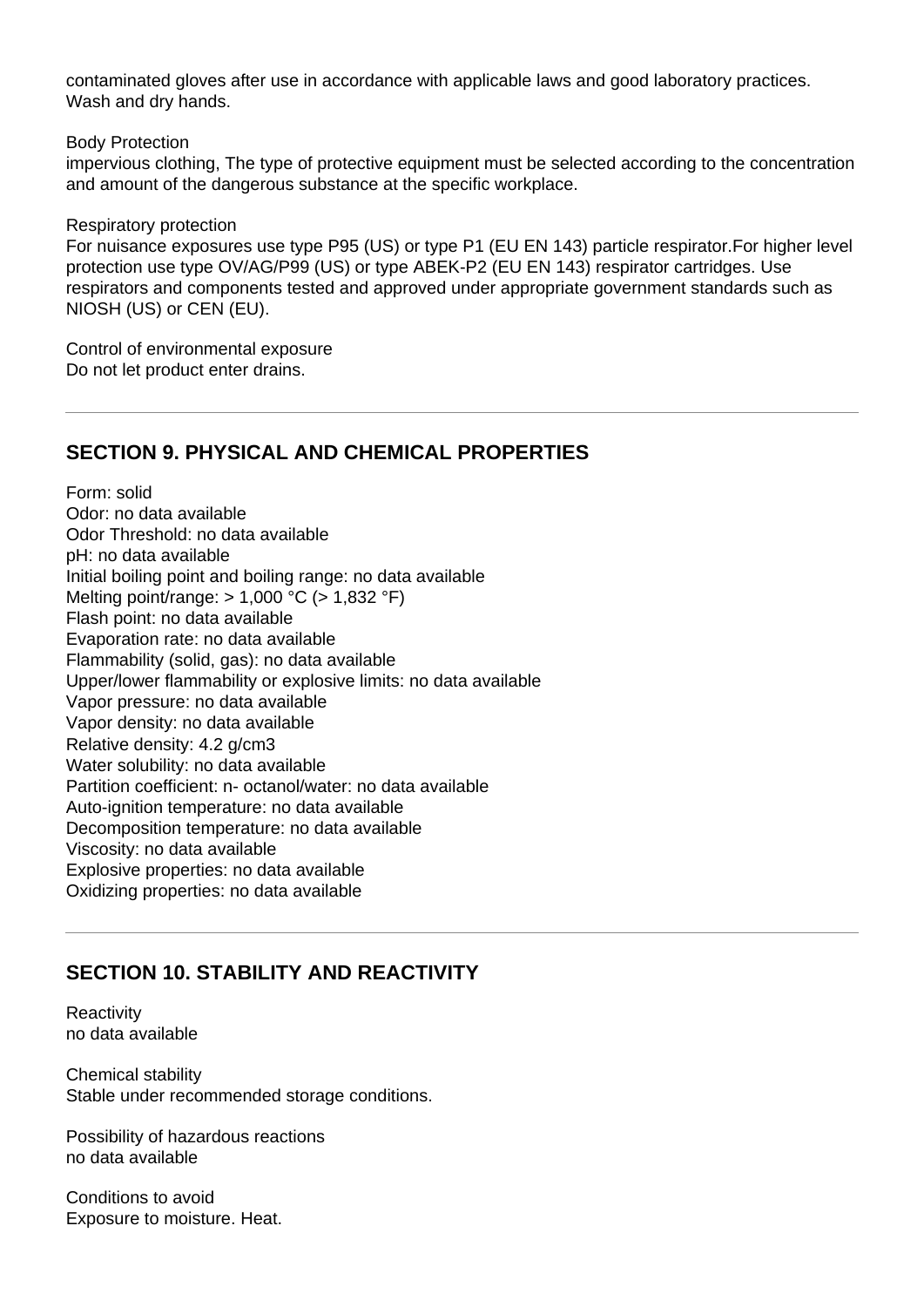contaminated gloves after use in accordance with applicable laws and good laboratory practices. Wash and dry hands.

Body Protection

impervious clothing, The type of protective equipment must be selected according to the concentration and amount of the dangerous substance at the specific workplace.

Respiratory protection

For nuisance exposures use type P95 (US) or type P1 (EU EN 143) particle respirator.For higher level protection use type OV/AG/P99 (US) or type ABEK-P2 (EU EN 143) respirator cartridges. Use respirators and components tested and approved under appropriate government standards such as NIOSH (US) or CEN (EU).

Control of environmental exposure Do not let product enter drains.

### **SECTION 9. PHYSICAL AND CHEMICAL PROPERTIES**

Form: solid Odor: no data available Odor Threshold: no data available pH: no data available Initial boiling point and boiling range: no data available Melting point/range: > 1,000 °C (> 1,832 °F) Flash point: no data available Evaporation rate: no data available Flammability (solid, gas): no data available Upper/lower flammability or explosive limits: no data available Vapor pressure: no data available Vapor density: no data available Relative density: 4.2 g/cm3 Water solubility: no data available Partition coefficient: n- octanol/water: no data available Auto-ignition temperature: no data available Decomposition temperature: no data available Viscosity: no data available Explosive properties: no data available Oxidizing properties: no data available

## **SECTION 10. STABILITY AND REACTIVITY**

**Reactivity** no data available

Chemical stability Stable under recommended storage conditions.

Possibility of hazardous reactions no data available

Conditions to avoid Exposure to moisture. Heat.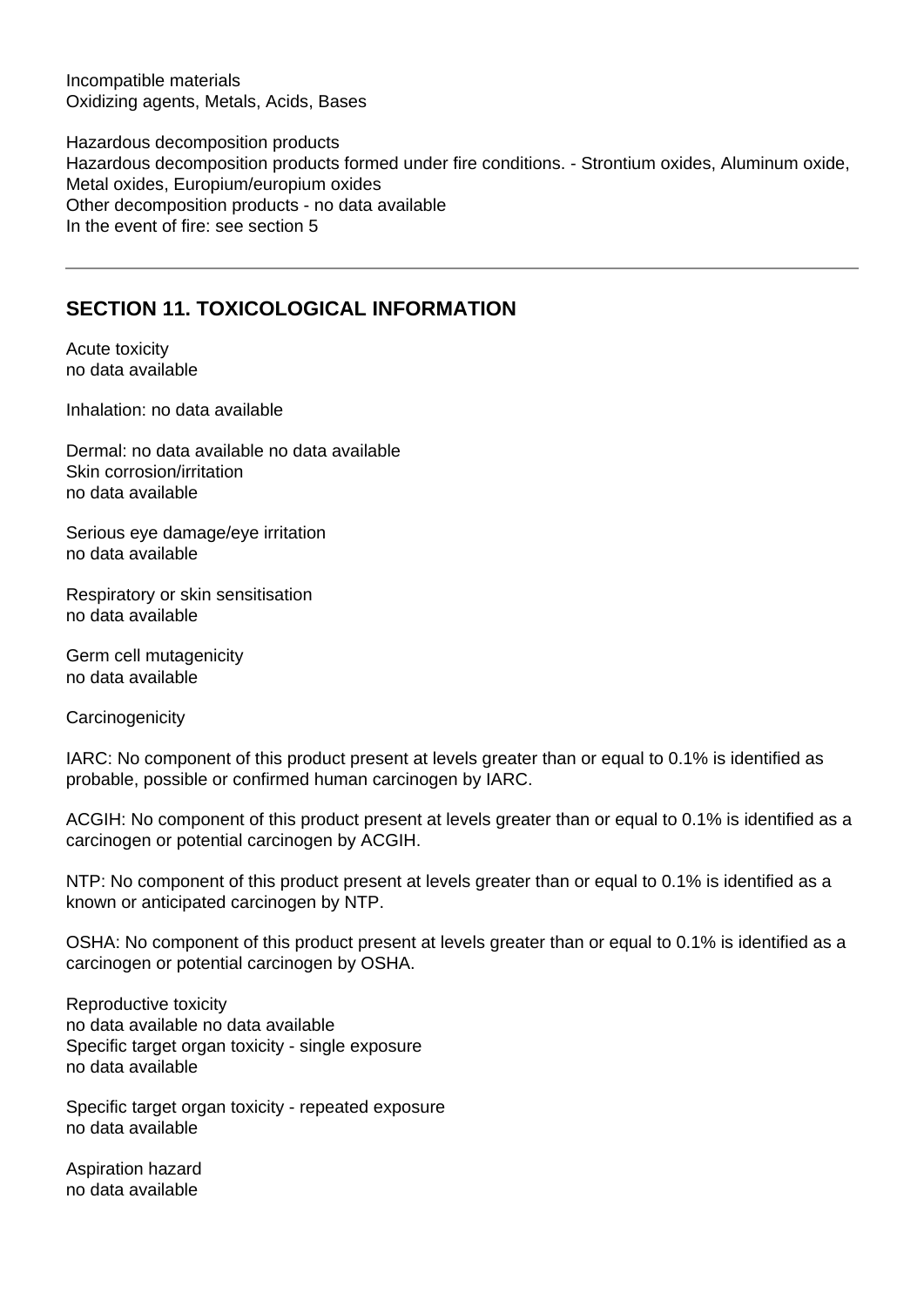Incompatible materials Oxidizing agents, Metals, Acids, Bases

Hazardous decomposition products Hazardous decomposition products formed under fire conditions. - Strontium oxides, Aluminum oxide, Metal oxides, Europium/europium oxides Other decomposition products - no data available In the event of fire: see section 5

## **SECTION 11. TOXICOLOGICAL INFORMATION**

Acute toxicity no data available

Inhalation: no data available

Dermal: no data available no data available Skin corrosion/irritation no data available

Serious eye damage/eye irritation no data available

Respiratory or skin sensitisation no data available

Germ cell mutagenicity no data available

**Carcinogenicity** 

IARC: No component of this product present at levels greater than or equal to 0.1% is identified as probable, possible or confirmed human carcinogen by IARC.

ACGIH: No component of this product present at levels greater than or equal to 0.1% is identified as a carcinogen or potential carcinogen by ACGIH.

NTP: No component of this product present at levels greater than or equal to 0.1% is identified as a known or anticipated carcinogen by NTP.

OSHA: No component of this product present at levels greater than or equal to 0.1% is identified as a carcinogen or potential carcinogen by OSHA.

Reproductive toxicity no data available no data available Specific target organ toxicity - single exposure no data available

Specific target organ toxicity - repeated exposure no data available

Aspiration hazard no data available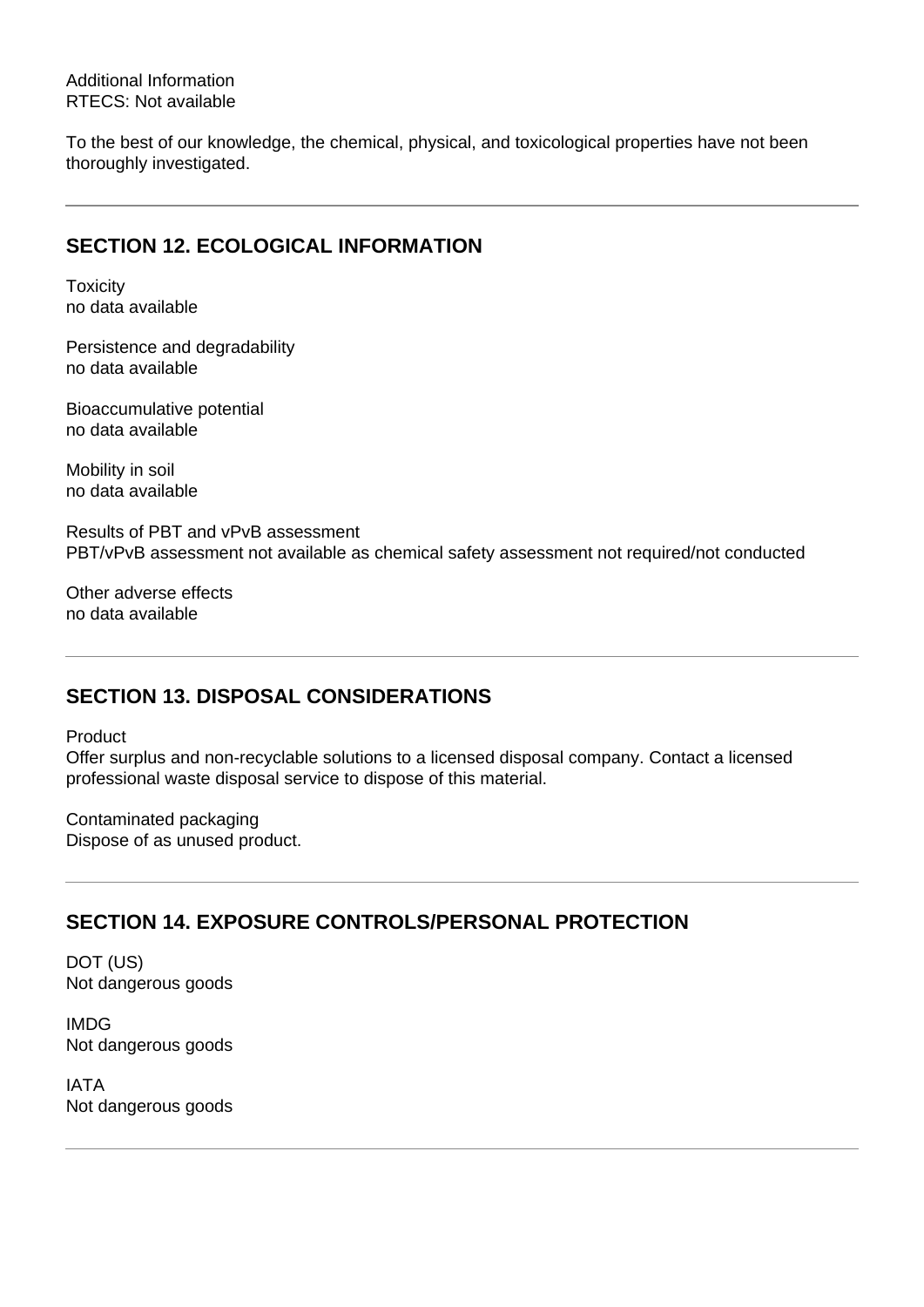Additional Information RTECS: Not available

To the best of our knowledge, the chemical, physical, and toxicological properties have not been thoroughly investigated.

## **SECTION 12. ECOLOGICAL INFORMATION**

**Toxicity** no data available

Persistence and degradability no data available

Bioaccumulative potential no data available

Mobility in soil no data available

Results of PBT and vPvB assessment PBT/vPvB assessment not available as chemical safety assessment not required/not conducted

Other adverse effects no data available

## **SECTION 13. DISPOSAL CONSIDERATIONS**

Product

Offer surplus and non-recyclable solutions to a licensed disposal company. Contact a licensed professional waste disposal service to dispose of this material.

Contaminated packaging Dispose of as unused product.

## **SECTION 14. EXPOSURE CONTROLS/PERSONAL PROTECTION**

DOT (US) Not dangerous goods

IMDG Not dangerous goods

IATA Not dangerous goods